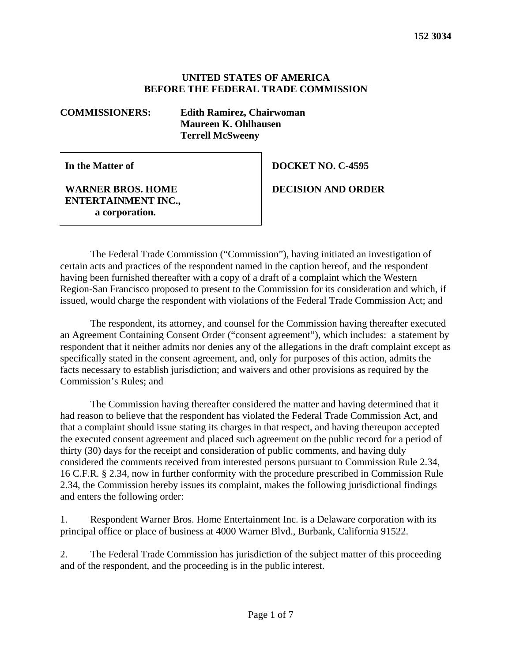## **UNITED STATES OF AMERICA BEFORE THE FEDERAL TRADE COMMISSION**

**COMMISSIONERS: Edith Ramirez, Chairwoman Maureen K. Ohlhausen Terrell McSweeny**

**In the Matter of**

**WARNER BROS. HOME ENTERTAINMENT INC., a corporation.**

**DOCKET NO. C-4595**

**DECISION AND ORDER**

The Federal Trade Commission ("Commission"), having initiated an investigation of certain acts and practices of the respondent named in the caption hereof, and the respondent having been furnished thereafter with a copy of a draft of a complaint which the Western Region-San Francisco proposed to present to the Commission for its consideration and which, if issued, would charge the respondent with violations of the Federal Trade Commission Act; and

The respondent, its attorney, and counsel for the Commission having thereafter executed an Agreement Containing Consent Order ("consent agreement"), which includes: a statement by respondent that it neither admits nor denies any of the allegations in the draft complaint except as specifically stated in the consent agreement, and, only for purposes of this action, admits the facts necessary to establish jurisdiction; and waivers and other provisions as required by the Commission's Rules; and

The Commission having thereafter considered the matter and having determined that it had reason to believe that the respondent has violated the Federal Trade Commission Act, and that a complaint should issue stating its charges in that respect, and having thereupon accepted the executed consent agreement and placed such agreement on the public record for a period of thirty (30) days for the receipt and consideration of public comments, and having duly considered the comments received from interested persons pursuant to Commission Rule 2.34, 16 C.F.R. § 2.34, now in further conformity with the procedure prescribed in Commission Rule 2.34, the Commission hereby issues its complaint, makes the following jurisdictional findings and enters the following order:

1. Respondent Warner Bros. Home Entertainment Inc. is a Delaware corporation with its principal office or place of business at 4000 Warner Blvd., Burbank, California 91522.

2. The Federal Trade Commission has jurisdiction of the subject matter of this proceeding and of the respondent, and the proceeding is in the public interest.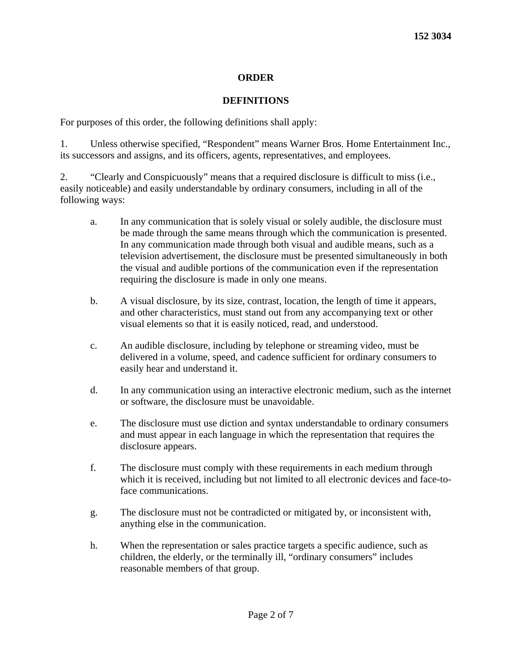# **ORDER**

# **DEFINITIONS**

For purposes of this order, the following definitions shall apply:

1. Unless otherwise specified, "Respondent" means Warner Bros. Home Entertainment Inc., its successors and assigns, and its officers, agents, representatives, and employees.

2. "Clearly and Conspicuously" means that a required disclosure is difficult to miss (i.e., easily noticeable) and easily understandable by ordinary consumers, including in all of the following ways:

- a. In any communication that is solely visual or solely audible, the disclosure must be made through the same means through which the communication is presented. In any communication made through both visual and audible means, such as a television advertisement, the disclosure must be presented simultaneously in both the visual and audible portions of the communication even if the representation requiring the disclosure is made in only one means.
- b. A visual disclosure, by its size, contrast, location, the length of time it appears, and other characteristics, must stand out from any accompanying text or other visual elements so that it is easily noticed, read, and understood.
- c. An audible disclosure, including by telephone or streaming video, must be delivered in a volume, speed, and cadence sufficient for ordinary consumers to easily hear and understand it.
- d. In any communication using an interactive electronic medium, such as the internet or software, the disclosure must be unavoidable.
- e. The disclosure must use diction and syntax understandable to ordinary consumers and must appear in each language in which the representation that requires the disclosure appears.
- f. The disclosure must comply with these requirements in each medium through which it is received, including but not limited to all electronic devices and face-toface communications.
- g. The disclosure must not be contradicted or mitigated by, or inconsistent with, anything else in the communication.
- h. When the representation or sales practice targets a specific audience, such as children, the elderly, or the terminally ill, "ordinary consumers" includes reasonable members of that group.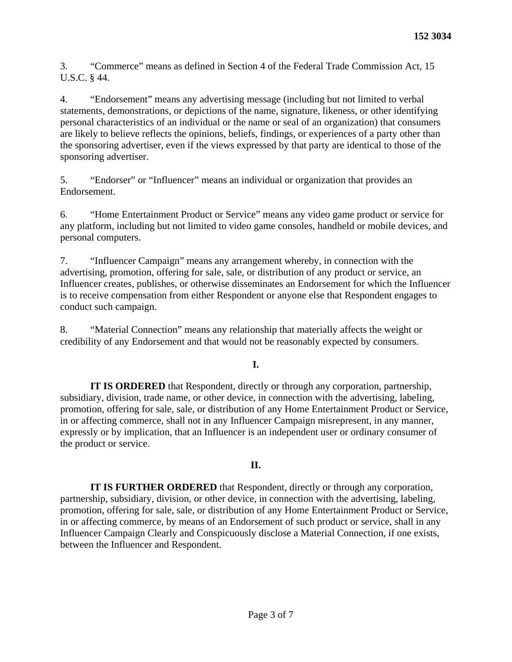3. "Commerce" means as defined in Section 4 of the Federal Trade Commission Act, 15 U.S.C. § 44.

4. "Endorsement" means any advertising message (including but not limited to verbal statements, demonstrations, or depictions of the name, signature, likeness, or other identifying personal characteristics of an individual or the name or seal of an organization) that consumers are likely to believe reflects the opinions, beliefs, findings, or experiences of a party other than the sponsoring advertiser, even if the views expressed by that party are identical to those of the sponsoring advertiser.

5. "Endorser" or "Influencer" means an individual or organization that provides an Endorsement.

6. "Home Entertainment Product or Service" means any video game product or service for any platform, including but not limited to video game consoles, handheld or mobile devices, and personal computers.

7. "Influencer Campaign" means any arrangement whereby, in connection with the advertising, promotion, offering for sale, sale, or distribution of any product or service, an Influencer creates, publishes, or otherwise disseminates an Endorsement for which the Influencer is to receive compensation from either Respondent or anyone else that Respondent engages to conduct such campaign.

8. "Material Connection" means any relationship that materially affects the weight or credibility of any Endorsement and that would not be reasonably expected by consumers.

# **I.**

**IT IS ORDERED** that Respondent, directly or through any corporation, partnership, subsidiary, division, trade name, or other device, in connection with the advertising, labeling, promotion, offering for sale, sale, or distribution of any Home Entertainment Product or Service, in or affecting commerce, shall not in any Influencer Campaign misrepresent, in any manner, expressly or by implication, that an Influencer is an independent user or ordinary consumer of the product or service.

# **II.**

**IT IS FURTHER ORDERED** that Respondent, directly or through any corporation, partnership, subsidiary, division, or other device, in connection with the advertising, labeling, promotion, offering for sale, sale, or distribution of any Home Entertainment Product or Service, in or affecting commerce, by means of an Endorsement of such product or service, shall in any Influencer Campaign Clearly and Conspicuously disclose a Material Connection, if one exists, between the Influencer and Respondent.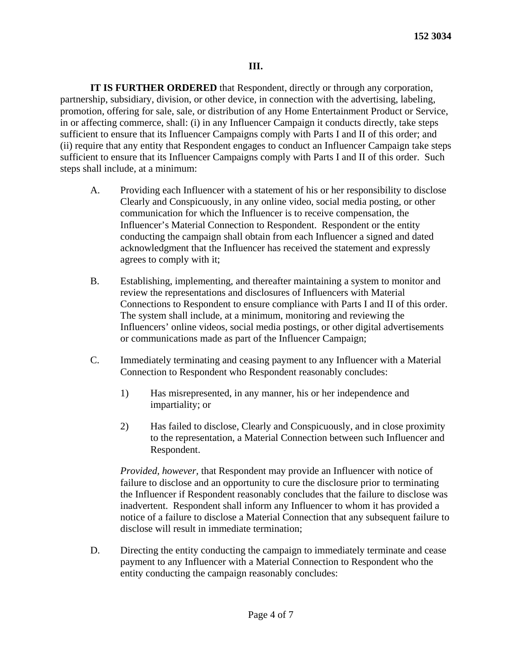### **III.**

**IT IS FURTHER ORDERED** that Respondent, directly or through any corporation, partnership, subsidiary, division, or other device, in connection with the advertising, labeling, promotion, offering for sale, sale, or distribution of any Home Entertainment Product or Service, in or affecting commerce, shall: (i) in any Influencer Campaign it conducts directly, take steps sufficient to ensure that its Influencer Campaigns comply with Parts I and II of this order; and (ii) require that any entity that Respondent engages to conduct an Influencer Campaign take steps sufficient to ensure that its Influencer Campaigns comply with Parts I and II of this order. Such steps shall include, at a minimum:

- A. Providing each Influencer with a statement of his or her responsibility to disclose Clearly and Conspicuously, in any online video, social media posting, or other communication for which the Influencer is to receive compensation, the Influencer's Material Connection to Respondent. Respondent or the entity conducting the campaign shall obtain from each Influencer a signed and dated acknowledgment that the Influencer has received the statement and expressly agrees to comply with it;
- B. Establishing, implementing, and thereafter maintaining a system to monitor and review the representations and disclosures of Influencers with Material Connections to Respondent to ensure compliance with Parts I and II of this order. The system shall include, at a minimum, monitoring and reviewing the Influencers' online videos, social media postings, or other digital advertisements or communications made as part of the Influencer Campaign;
- C. Immediately terminating and ceasing payment to any Influencer with a Material Connection to Respondent who Respondent reasonably concludes:
	- 1) Has misrepresented, in any manner, his or her independence and impartiality; or
	- 2) Has failed to disclose, Clearly and Conspicuously, and in close proximity to the representation, a Material Connection between such Influencer and Respondent.

*Provided, however,* that Respondent may provide an Influencer with notice of failure to disclose and an opportunity to cure the disclosure prior to terminating the Influencer if Respondent reasonably concludes that the failure to disclose was inadvertent. Respondent shall inform any Influencer to whom it has provided a notice of a failure to disclose a Material Connection that any subsequent failure to disclose will result in immediate termination;

D. Directing the entity conducting the campaign to immediately terminate and cease payment to any Influencer with a Material Connection to Respondent who the entity conducting the campaign reasonably concludes: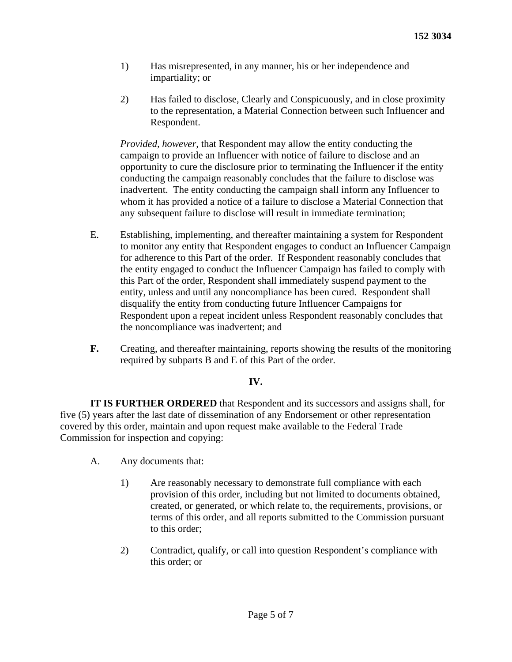- 1) Has misrepresented, in any manner, his or her independence and impartiality; or
- 2) Has failed to disclose, Clearly and Conspicuously, and in close proximity to the representation, a Material Connection between such Influencer and Respondent.

*Provided, however,* that Respondent may allow the entity conducting the campaign to provide an Influencer with notice of failure to disclose and an opportunity to cure the disclosure prior to terminating the Influencer if the entity conducting the campaign reasonably concludes that the failure to disclose was inadvertent. The entity conducting the campaign shall inform any Influencer to whom it has provided a notice of a failure to disclose a Material Connection that any subsequent failure to disclose will result in immediate termination;

- E. Establishing, implementing, and thereafter maintaining a system for Respondent to monitor any entity that Respondent engages to conduct an Influencer Campaign for adherence to this Part of the order. If Respondent reasonably concludes that the entity engaged to conduct the Influencer Campaign has failed to comply with this Part of the order, Respondent shall immediately suspend payment to the entity, unless and until any noncompliance has been cured. Respondent shall disqualify the entity from conducting future Influencer Campaigns for Respondent upon a repeat incident unless Respondent reasonably concludes that the noncompliance was inadvertent; and
- **F.** Creating, and thereafter maintaining, reports showing the results of the monitoring required by subparts B and E of this Part of the order.

# **IV.**

**IT IS FURTHER ORDERED** that Respondent and its successors and assigns shall, for five (5) years after the last date of dissemination of any Endorsement or other representation covered by this order, maintain and upon request make available to the Federal Trade Commission for inspection and copying:

- A. Any documents that:
	- 1) Are reasonably necessary to demonstrate full compliance with each provision of this order, including but not limited to documents obtained, created, or generated, or which relate to, the requirements, provisions, or terms of this order, and all reports submitted to the Commission pursuant to this order;
	- 2) Contradict, qualify, or call into question Respondent's compliance with this order; or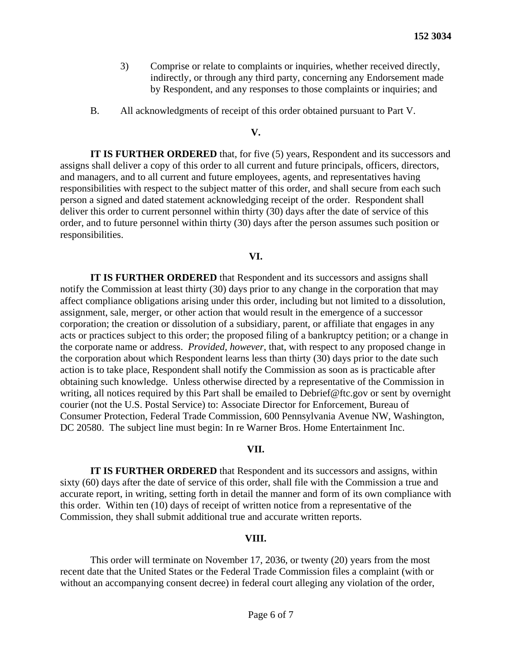- 3) Comprise or relate to complaints or inquiries, whether received directly, indirectly, or through any third party, concerning any Endorsement made by Respondent, and any responses to those complaints or inquiries; and
- B. All acknowledgments of receipt of this order obtained pursuant to Part V.

### **V.**

**IT IS FURTHER ORDERED** that, for five (5) years, Respondent and its successors and assigns shall deliver a copy of this order to all current and future principals, officers, directors, and managers, and to all current and future employees, agents, and representatives having responsibilities with respect to the subject matter of this order, and shall secure from each such person a signed and dated statement acknowledging receipt of the order. Respondent shall deliver this order to current personnel within thirty (30) days after the date of service of this order, and to future personnel within thirty (30) days after the person assumes such position or responsibilities.

#### **VI.**

**IT IS FURTHER ORDERED** that Respondent and its successors and assigns shall notify the Commission at least thirty (30) days prior to any change in the corporation that may affect compliance obligations arising under this order, including but not limited to a dissolution, assignment, sale, merger, or other action that would result in the emergence of a successor corporation; the creation or dissolution of a subsidiary, parent, or affiliate that engages in any acts or practices subject to this order; the proposed filing of a bankruptcy petition; or a change in the corporate name or address. *Provided, however,* that, with respect to any proposed change in the corporation about which Respondent learns less than thirty (30) days prior to the date such action is to take place, Respondent shall notify the Commission as soon as is practicable after obtaining such knowledge. Unless otherwise directed by a representative of the Commission in writing, all notices required by this Part shall be emailed to Debrief@ftc.gov or sent by overnight courier (not the U.S. Postal Service) to: Associate Director for Enforcement, Bureau of Consumer Protection, Federal Trade Commission, 600 Pennsylvania Avenue NW, Washington, DC 20580. The subject line must begin: In re Warner Bros. Home Entertainment Inc.

#### **VII.**

**IT IS FURTHER ORDERED** that Respondent and its successors and assigns, within sixty (60) days after the date of service of this order, shall file with the Commission a true and accurate report, in writing, setting forth in detail the manner and form of its own compliance with this order. Within ten (10) days of receipt of written notice from a representative of the Commission, they shall submit additional true and accurate written reports.

### **VIII.**

This order will terminate on November 17, 2036, or twenty (20) years from the most recent date that the United States or the Federal Trade Commission files a complaint (with or without an accompanying consent decree) in federal court alleging any violation of the order,